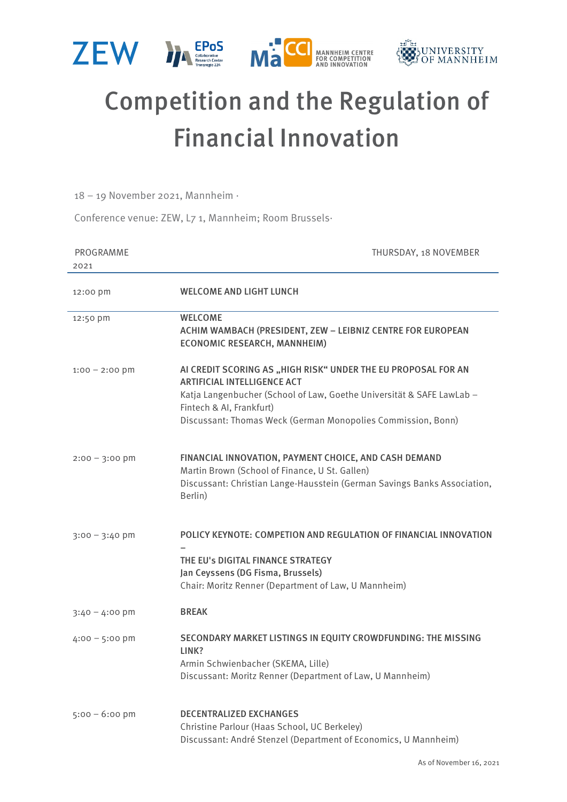

## Competition and the Regulation of Financial Innovation

18 – 19 November 2021, Mannheim ·

Conference venue: ZEW, L7 1, Mannheim; Room Brussels·

| PROGRAMME<br>2021 | THURSDAY, 18 NOVEMBER                                                                                                                                                                                                                                                    |
|-------------------|--------------------------------------------------------------------------------------------------------------------------------------------------------------------------------------------------------------------------------------------------------------------------|
| 12:00 pm          | <b>WELCOME AND LIGHT LUNCH</b>                                                                                                                                                                                                                                           |
| 12:50 pm          | <b>WELCOME</b><br>ACHIM WAMBACH (PRESIDENT, ZEW - LEIBNIZ CENTRE FOR EUROPEAN<br><b>ECONOMIC RESEARCH, MANNHEIM)</b>                                                                                                                                                     |
| $1:00 - 2:00$ pm  | AI CREDIT SCORING AS "HIGH RISK" UNDER THE EU PROPOSAL FOR AN<br><b>ARTIFICIAL INTELLIGENCE ACT</b><br>Katja Langenbucher (School of Law, Goethe Universität & SAFE LawLab -<br>Fintech & AI, Frankfurt)<br>Discussant: Thomas Weck (German Monopolies Commission, Bonn) |
| $2:00 - 3:00$ pm  | FINANCIAL INNOVATION, PAYMENT CHOICE, AND CASH DEMAND<br>Martin Brown (School of Finance, U St. Gallen)<br>Discussant: Christian Lange-Hausstein (German Savings Banks Association,<br>Berlin)                                                                           |
| $3:00 - 3:40$ pm  | POLICY KEYNOTE: COMPETION AND REGULATION OF FINANCIAL INNOVATION<br>THE EU's DIGITAL FINANCE STRATEGY<br>Jan Ceyssens (DG Fisma, Brussels)<br>Chair: Moritz Renner (Department of Law, U Mannheim)                                                                       |
| 3:40 – 4:00 pm    | <b>BREAK</b>                                                                                                                                                                                                                                                             |
| $4:00 - 5:00$ pm  | SECONDARY MARKET LISTINGS IN EQUITY CROWDFUNDING: THE MISSING<br>LINK?<br>Armin Schwienbacher (SKEMA, Lille)<br>Discussant: Moritz Renner (Department of Law, U Mannheim)                                                                                                |
| $5:00 - 6:00$ pm  | <b>DECENTRALIZED EXCHANGES</b><br>Christine Parlour (Haas School, UC Berkeley)<br>Discussant: André Stenzel (Department of Economics, U Mannheim)                                                                                                                        |